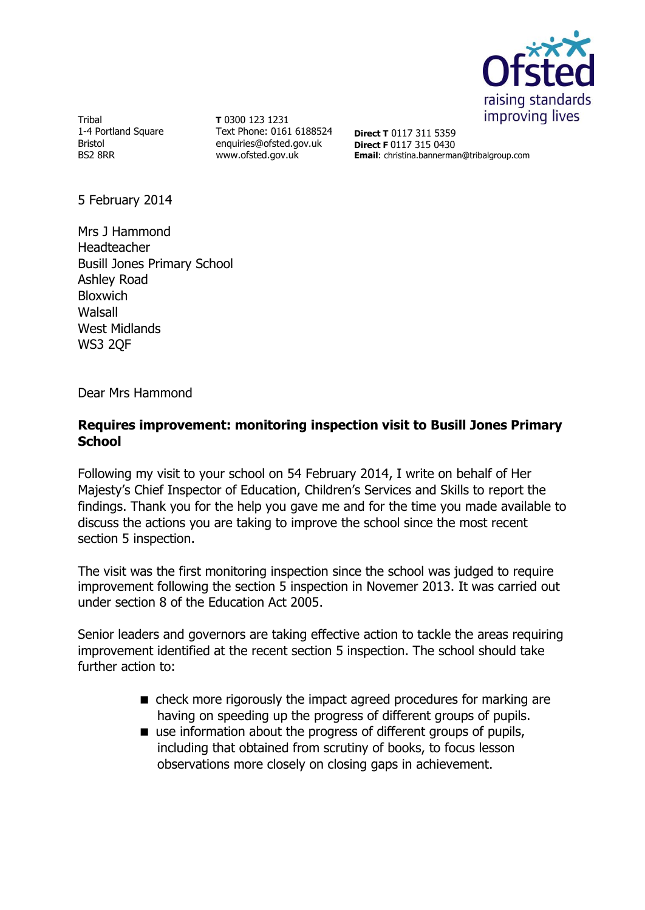

Tribal 1-4 Portland Square Bristol BS2 8RR

**T** 0300 123 1231 Text Phone: 0161 6188524 enquiries@ofsted.gov.uk www.ofsted.gov.uk

**Direct T** 0117 311 5359 **Direct F** 0117 315 0430 **Email**: christina.bannerman@tribalgroup.com

5 February 2014

Mrs J Hammond Headteacher Busill Jones Primary School Ashley Road Bloxwich Walsall West Midlands WS3 2QF

Dear Mrs Hammond

### **Requires improvement: monitoring inspection visit to Busill Jones Primary School**

Following my visit to your school on 54 February 2014, I write on behalf of Her Majesty's Chief Inspector of Education, Children's Services and Skills to report the findings. Thank you for the help you gave me and for the time you made available to discuss the actions you are taking to improve the school since the most recent section 5 inspection.

The visit was the first monitoring inspection since the school was judged to require improvement following the section 5 inspection in Novemer 2013. It was carried out under section 8 of the Education Act 2005.

Senior leaders and governors are taking effective action to tackle the areas requiring improvement identified at the recent section 5 inspection. The school should take further action to:

- $\blacksquare$  check more rigorously the impact agreed procedures for marking are having on speeding up the progress of different groups of pupils.
- use information about the progress of different groups of pupils, including that obtained from scrutiny of books, to focus lesson observations more closely on closing gaps in achievement.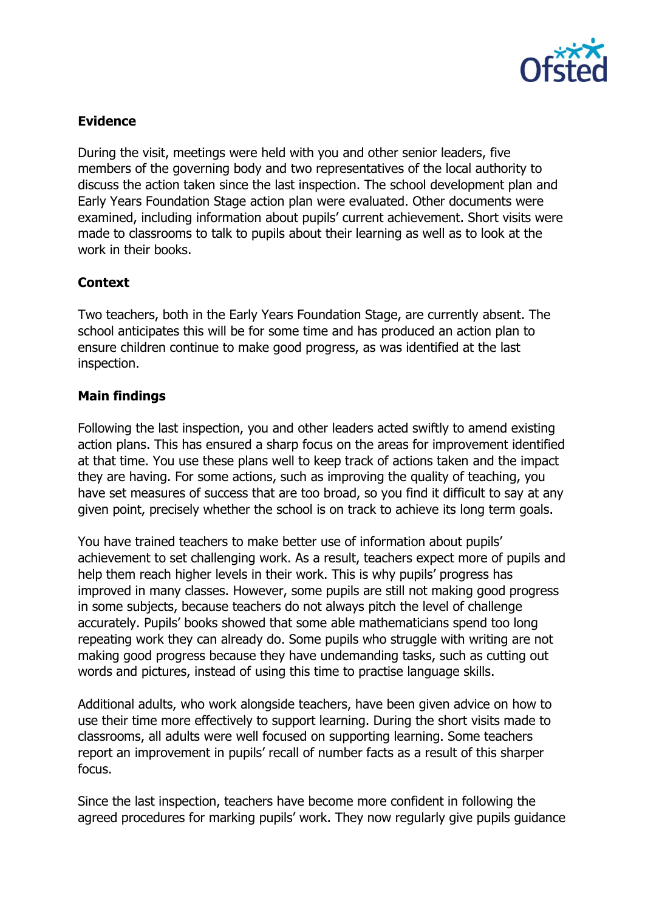

# **Evidence**

During the visit, meetings were held with you and other senior leaders, five members of the governing body and two representatives of the local authority to discuss the action taken since the last inspection. The school development plan and Early Years Foundation Stage action plan were evaluated. Other documents were examined, including information about pupils' current achievement. Short visits were made to classrooms to talk to pupils about their learning as well as to look at the work in their books.

## **Context**

Two teachers, both in the Early Years Foundation Stage, are currently absent. The school anticipates this will be for some time and has produced an action plan to ensure children continue to make good progress, as was identified at the last inspection.

### **Main findings**

Following the last inspection, you and other leaders acted swiftly to amend existing action plans. This has ensured a sharp focus on the areas for improvement identified at that time. You use these plans well to keep track of actions taken and the impact they are having. For some actions, such as improving the quality of teaching, you have set measures of success that are too broad, so you find it difficult to say at any given point, precisely whether the school is on track to achieve its long term goals.

You have trained teachers to make better use of information about pupils' achievement to set challenging work. As a result, teachers expect more of pupils and help them reach higher levels in their work. This is why pupils' progress has improved in many classes. However, some pupils are still not making good progress in some subjects, because teachers do not always pitch the level of challenge accurately. Pupils' books showed that some able mathematicians spend too long repeating work they can already do. Some pupils who struggle with writing are not making good progress because they have undemanding tasks, such as cutting out words and pictures, instead of using this time to practise language skills.

Additional adults, who work alongside teachers, have been given advice on how to use their time more effectively to support learning. During the short visits made to classrooms, all adults were well focused on supporting learning. Some teachers report an improvement in pupils' recall of number facts as a result of this sharper focus.

Since the last inspection, teachers have become more confident in following the agreed procedures for marking pupils' work. They now regularly give pupils guidance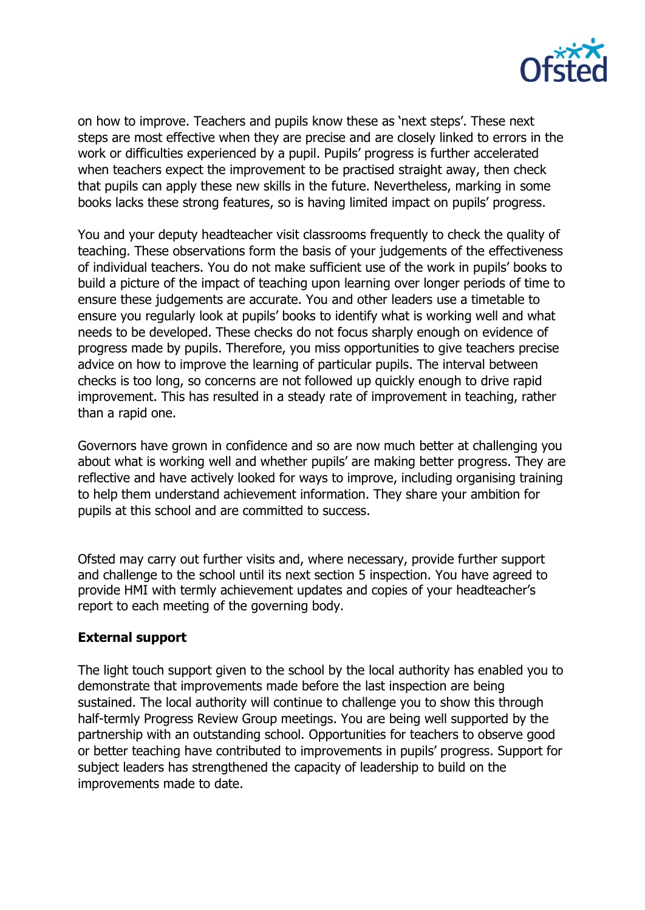

on how to improve. Teachers and pupils know these as 'next steps'. These next steps are most effective when they are precise and are closely linked to errors in the work or difficulties experienced by a pupil. Pupils' progress is further accelerated when teachers expect the improvement to be practised straight away, then check that pupils can apply these new skills in the future. Nevertheless, marking in some books lacks these strong features, so is having limited impact on pupils' progress.

You and your deputy headteacher visit classrooms frequently to check the quality of teaching. These observations form the basis of your judgements of the effectiveness of individual teachers. You do not make sufficient use of the work in pupils' books to build a picture of the impact of teaching upon learning over longer periods of time to ensure these judgements are accurate. You and other leaders use a timetable to ensure you regularly look at pupils' books to identify what is working well and what needs to be developed. These checks do not focus sharply enough on evidence of progress made by pupils. Therefore, you miss opportunities to give teachers precise advice on how to improve the learning of particular pupils. The interval between checks is too long, so concerns are not followed up quickly enough to drive rapid improvement. This has resulted in a steady rate of improvement in teaching, rather than a rapid one.

Governors have grown in confidence and so are now much better at challenging you about what is working well and whether pupils' are making better progress. They are reflective and have actively looked for ways to improve, including organising training to help them understand achievement information. They share your ambition for pupils at this school and are committed to success.

Ofsted may carry out further visits and, where necessary, provide further support and challenge to the school until its next section 5 inspection. You have agreed to provide HMI with termly achievement updates and copies of your headteacher's report to each meeting of the governing body.

### **External support**

The light touch support given to the school by the local authority has enabled you to demonstrate that improvements made before the last inspection are being sustained. The local authority will continue to challenge you to show this through half-termly Progress Review Group meetings. You are being well supported by the partnership with an outstanding school. Opportunities for teachers to observe good or better teaching have contributed to improvements in pupils' progress. Support for subject leaders has strengthened the capacity of leadership to build on the improvements made to date.